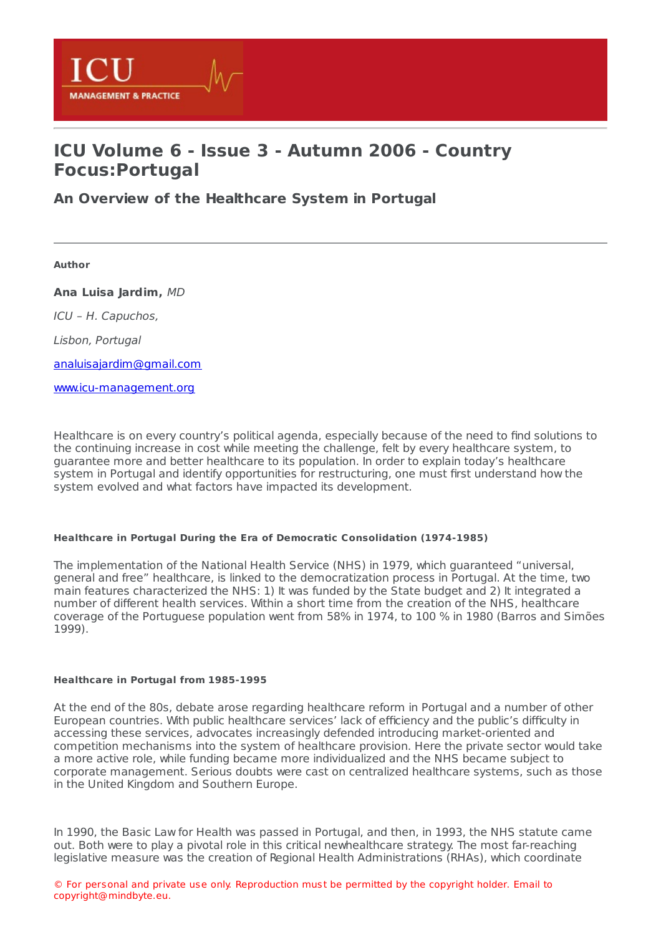

# **ICU Volume 6 - Issue 3 - Autumn 2006 - Country Focus:Portugal**

**An Overview of the [Healthcare](https://healthmanagement.org/s/an-overview-of-the-healthcare-system-in-portugal) System in Portugal**

**Author**

**Ana Luisa Jardim,** MD

ICU – H. Capuchos,

Lisbon, Portugal

[analuisajardim@gmail.com](mailto:analuisajardim@gmail.com)

[www.icu-management.org](http://www.icu-management.org/)

Healthcare is on every country's political agenda, especially because of the need to find solutions to the continuing increase in cost while meeting the challenge, felt by every healthcare system, to guarantee more and better healthcare to its population. In order to explain today's healthcare system in Portugal and identify opportunities for restructuring, one must first understand how the system evolved and what factors have impacted its development.

# **Healthcare in Portugal During the Era of Democratic Consolidation (1974-1985)**

The implementation of the National Health Service (NHS) in 1979, which guaranteed "universal, general and free" healthcare, is linked to the democratization process in Portugal. At the time, two main features characterized the NHS: 1) It was funded by the State budget and 2) It integrated a number of different health services. Within a short time from the creation of the NHS, healthcare coverage of the Portuguese population went from 58% in 1974, to 100 % in 1980 (Barros and Simões 1999).

# **Healthcare in Portugal from 1985-1995**

At the end of the 80s, debate arose regarding healthcare reform in Portugal and a number of other European countries. With public healthcare services' lack of efficiency and the public's difficulty in accessing these services, advocates increasingly defended introducing market-oriented and competition mechanisms into the system of healthcare provision. Here the private sector would take a more active role, while funding became more individualized and the NHS became subject to corporate management. Serious doubts were cast on centralized healthcare systems, such as those in the United Kingdom and Southern Europe.

In 1990, the Basic Law for Health was passed in Portugal, and then, in 1993, the NHS statute came out. Both were to play a pivotal role in this critical newhealthcare strategy. The most far-reaching legislative measure was the creation of Regional Health Administrations (RHAs), which coordinate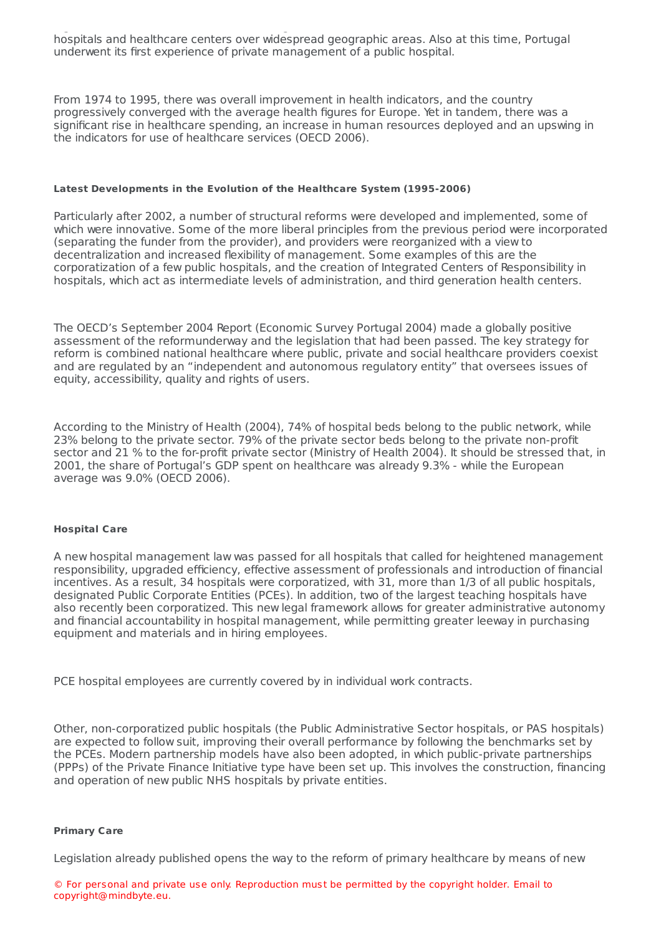legislative measure was the creation of Regional Health Administrations (RHAs), which coordinate hospitals and healthcare centers over widespread geographic areas. Also at this time, Portugal underwent its first experience of private management of a public hospital.

From 1974 to 1995, there was overall improvement in health indicators, and the country progressively converged with the average health figures for Europe. Yet in tandem, there was a significant rise in healthcare spending, an increase in human resources deployed and an upswing in the indicators for use of healthcare services (OECD 2006).

# **Latest Developments in the Evolution of the Healthcare System (1995-2006)**

Particularly after 2002, a number of structural reforms were developed and implemented, some of which were innovative. Some of the more liberal principles from the previous period were incorporated (separating the funder from the provider), and providers were reorganized with a view to decentralization and increased flexibility of management. Some examples of this are the corporatization of a few public hospitals, and the creation of Integrated Centers of Responsibility in hospitals, which act as intermediate levels of administration, and third generation health centers.

The OECD's September 2004 Report (Economic Survey Portugal 2004) made a globally positive assessment of the reformunderway and the legislation that had been passed. The key strategy for reform is combined national healthcare where public, private and social healthcare providers coexist and are regulated by an "independent and autonomous regulatory entity" that oversees issues of equity, accessibility, quality and rights of users.

According to the Ministry of Health (2004), 74% of hospital beds belong to the public network, while 23% belong to the private sector. 79% of the private sector beds belong to the private non-profit sector and 21 % to the for-profit private sector (Ministry of Health 2004). It should be stressed that, in 2001, the share of Portugal's GDP spent on healthcare was already 9.3% - while the European average was 9.0% (OECD 2006).

# **Hospital Care**

A new hospital management law was passed for all hospitals that called for heightened management responsibility, upgraded efficiency, effective assessment of professionals and introduction of financial incentives. As a result, 34 hospitals were corporatized, with 31, more than 1/3 of all public hospitals, designated Public Corporate Entities (PCEs). In addition, two of the largest teaching hospitals have also recently been corporatized. This new legal framework allows for greater administrative autonomy and financial accountability in hospital management, while permitting greater leeway in purchasing equipment and materials and in hiring employees.

PCE hospital employees are currently covered by in individual work contracts.

Other, non-corporatized public hospitals (the Public Administrative Sector hospitals, or PAS hospitals) are expected to follow suit, improving their overall performance by following the benchmarks set by the PCEs. Modern partnership models have also been adopted, in which public-private partnerships (PPPs) of the Private Finance Initiative type have been set up. This involves the construction, financing and operation of new public NHS hospitals by private entities.

# **Primary Care**

Legislation already published opens the way to the reform of primary healthcare by means of new

© For personal and private use only. Reproduction must be permitted by the copyright holder. Email to copyright@mindbyte.eu.